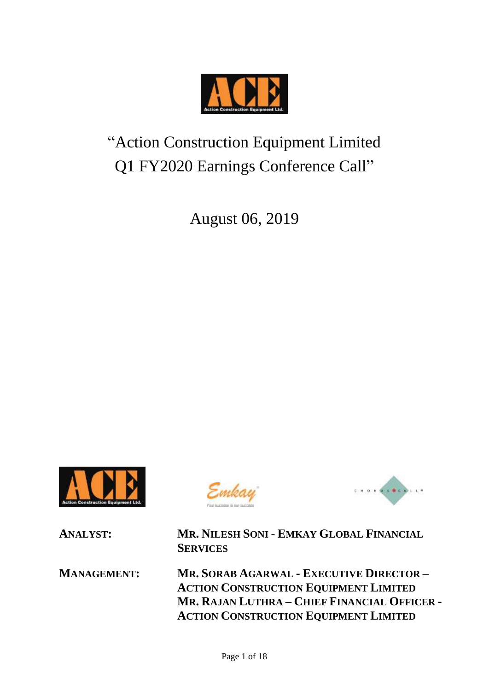

# "Action Construction Equipment Limited Q1 FY2020 Earnings Conference Call"

August 06, 2019







**ANALYST: MR. NILESH SONI - EMKAY GLOBAL FINANCIAL SERVICES**

**MANAGEMENT: MR. SORAB AGARWAL - EXECUTIVE DIRECTOR – ACTION CONSTRUCTION EQUIPMENT LIMITED MR. RAJAN LUTHRA – CHIEF FINANCIAL OFFICER - ACTION CONSTRUCTION EQUIPMENT LIMITED**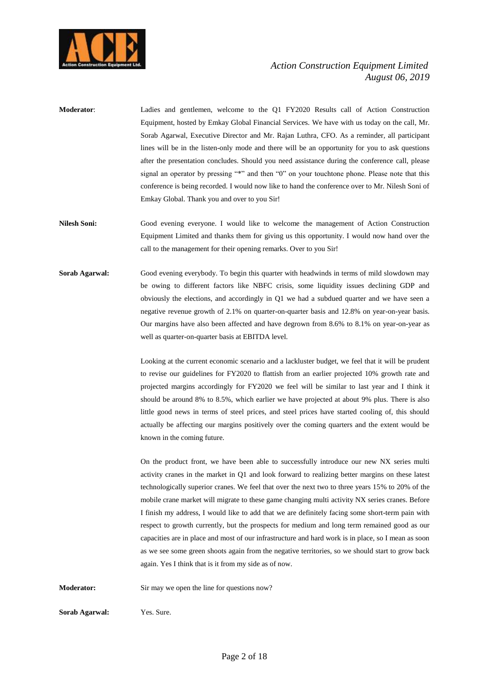

- **Moderator**: Ladies and gentlemen, welcome to the Q1 FY2020 Results call of Action Construction Equipment, hosted by Emkay Global Financial Services. We have with us today on the call, Mr. Sorab Agarwal, Executive Director and Mr. Rajan Luthra, CFO. As a reminder, all participant lines will be in the listen-only mode and there will be an opportunity for you to ask questions after the presentation concludes. Should you need assistance during the conference call, please signal an operator by pressing "\*" and then "0" on your touchtone phone. Please note that this conference is being recorded. I would now like to hand the conference over to Mr. Nilesh Soni of Emkay Global. Thank you and over to you Sir!
- **Nilesh Soni:** Good evening everyone. I would like to welcome the management of Action Construction Equipment Limited and thanks them for giving us this opportunity. I would now hand over the call to the management for their opening remarks. Over to you Sir!
- **Sorab Agarwal:** Good evening everybody. To begin this quarter with headwinds in terms of mild slowdown may be owing to different factors like NBFC crisis, some liquidity issues declining GDP and obviously the elections, and accordingly in Q1 we had a subdued quarter and we have seen a negative revenue growth of 2.1% on quarter-on-quarter basis and 12.8% on year-on-year basis. Our margins have also been affected and have degrown from 8.6% to 8.1% on year-on-year as well as quarter-on-quarter basis at EBITDA level.

Looking at the current economic scenario and a lackluster budget, we feel that it will be prudent to revise our guidelines for FY2020 to flattish from an earlier projected 10% growth rate and projected margins accordingly for FY2020 we feel will be similar to last year and I think it should be around 8% to 8.5%, which earlier we have projected at about 9% plus. There is also little good news in terms of steel prices, and steel prices have started cooling of, this should actually be affecting our margins positively over the coming quarters and the extent would be known in the coming future.

On the product front, we have been able to successfully introduce our new NX series multi activity cranes in the market in Q1 and look forward to realizing better margins on these latest technologically superior cranes. We feel that over the next two to three years 15% to 20% of the mobile crane market will migrate to these game changing multi activity NX series cranes. Before I finish my address, I would like to add that we are definitely facing some short-term pain with respect to growth currently, but the prospects for medium and long term remained good as our capacities are in place and most of our infrastructure and hard work is in place, so I mean as soon as we see some green shoots again from the negative territories, so we should start to grow back again. Yes I think that is it from my side as of now.

**Moderator:** Sir may we open the line for questions now?

**Sorab Agarwal:** Yes. Sure.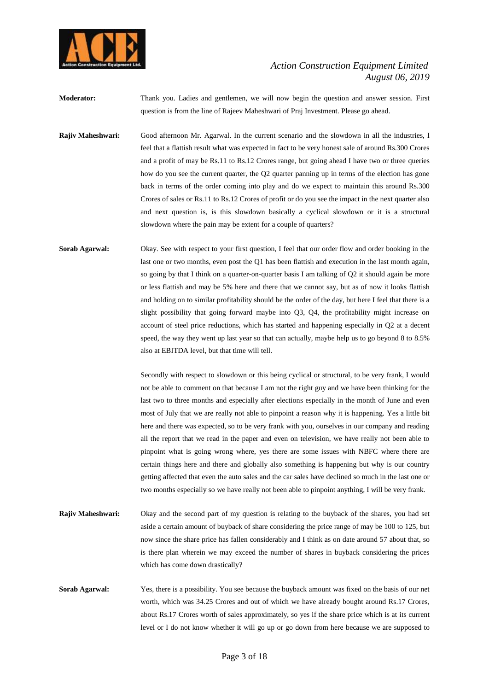

**Moderator:** Thank you. Ladies and gentlemen, we will now begin the question and answer session. First question is from the line of Rajeev Maheshwari of Praj Investment. Please go ahead.

**Rajiv Maheshwari:** Good afternoon Mr. Agarwal. In the current scenario and the slowdown in all the industries, I feel that a flattish result what was expected in fact to be very honest sale of around Rs.300 Crores and a profit of may be Rs.11 to Rs.12 Crores range, but going ahead I have two or three queries how do you see the current quarter, the Q2 quarter panning up in terms of the election has gone back in terms of the order coming into play and do we expect to maintain this around Rs.300 Crores of sales or Rs.11 to Rs.12 Crores of profit or do you see the impact in the next quarter also and next question is, is this slowdown basically a cyclical slowdown or it is a structural slowdown where the pain may be extent for a couple of quarters?

**Sorab Agarwal:** Okay. See with respect to your first question, I feel that our order flow and order booking in the last one or two months, even post the Q1 has been flattish and execution in the last month again, so going by that I think on a quarter-on-quarter basis I am talking of Q2 it should again be more or less flattish and may be 5% here and there that we cannot say, but as of now it looks flattish and holding on to similar profitability should be the order of the day, but here I feel that there is a slight possibility that going forward maybe into Q3, Q4, the profitability might increase on account of steel price reductions, which has started and happening especially in Q2 at a decent speed, the way they went up last year so that can actually, maybe help us to go beyond 8 to 8.5% also at EBITDA level, but that time will tell.

> Secondly with respect to slowdown or this being cyclical or structural, to be very frank, I would not be able to comment on that because I am not the right guy and we have been thinking for the last two to three months and especially after elections especially in the month of June and even most of July that we are really not able to pinpoint a reason why it is happening. Yes a little bit here and there was expected, so to be very frank with you, ourselves in our company and reading all the report that we read in the paper and even on television, we have really not been able to pinpoint what is going wrong where, yes there are some issues with NBFC where there are certain things here and there and globally also something is happening but why is our country getting affected that even the auto sales and the car sales have declined so much in the last one or two months especially so we have really not been able to pinpoint anything, I will be very frank.

- **Rajiv Maheshwari:** Okay and the second part of my question is relating to the buyback of the shares, you had set aside a certain amount of buyback of share considering the price range of may be 100 to 125, but now since the share price has fallen considerably and I think as on date around 57 about that, so is there plan wherein we may exceed the number of shares in buyback considering the prices which has come down drastically?
- **Sorab Agarwal:** Yes, there is a possibility. You see because the buyback amount was fixed on the basis of our net worth, which was 34.25 Crores and out of which we have already bought around Rs.17 Crores, about Rs.17 Crores worth of sales approximately, so yes if the share price which is at its current level or I do not know whether it will go up or go down from here because we are supposed to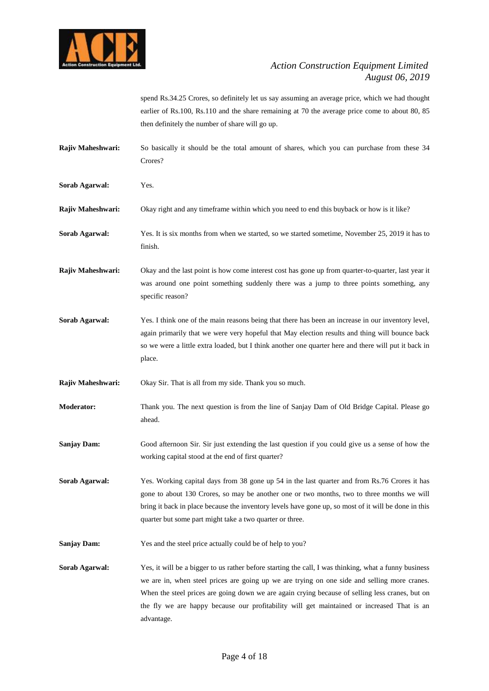

spend Rs.34.25 Crores, so definitely let us say assuming an average price, which we had thought earlier of Rs.100, Rs.110 and the share remaining at 70 the average price come to about 80, 85 then definitely the number of share will go up.

- **Rajiv Maheshwari:** So basically it should be the total amount of shares, which you can purchase from these 34 Crores?
- **Sorab Agarwal:** Yes.
- **Rajiv Maheshwari:** Okay right and any timeframe within which you need to end this buyback or how is it like?
- **Sorab Agarwal:** Yes. It is six months from when we started, so we started sometime, November 25, 2019 it has to finish.
- **Rajiv Maheshwari:** Okay and the last point is how come interest cost has gone up from quarter-to-quarter, last year it was around one point something suddenly there was a jump to three points something, any specific reason?
- **Sorab Agarwal:** Yes. I think one of the main reasons being that there has been an increase in our inventory level, again primarily that we were very hopeful that May election results and thing will bounce back so we were a little extra loaded, but I think another one quarter here and there will put it back in place.
- **Rajiv Maheshwari:** Okay Sir. That is all from my side. Thank you so much.
- **Moderator:** Thank you. The next question is from the line of Sanjay Dam of Old Bridge Capital. Please go ahead.
- **Sanjay Dam:** Good afternoon Sir. Sir just extending the last question if you could give us a sense of how the working capital stood at the end of first quarter?
- **Sorab Agarwal:** Yes. Working capital days from 38 gone up 54 in the last quarter and from Rs.76 Crores it has gone to about 130 Crores, so may be another one or two months, two to three months we will bring it back in place because the inventory levels have gone up, so most of it will be done in this quarter but some part might take a two quarter or three.
- **Sanjay Dam:** Yes and the steel price actually could be of help to you?
- **Sorab Agarwal:** Yes, it will be a bigger to us rather before starting the call, I was thinking, what a funny business we are in, when steel prices are going up we are trying on one side and selling more cranes. When the steel prices are going down we are again crying because of selling less cranes, but on the fly we are happy because our profitability will get maintained or increased That is an advantage.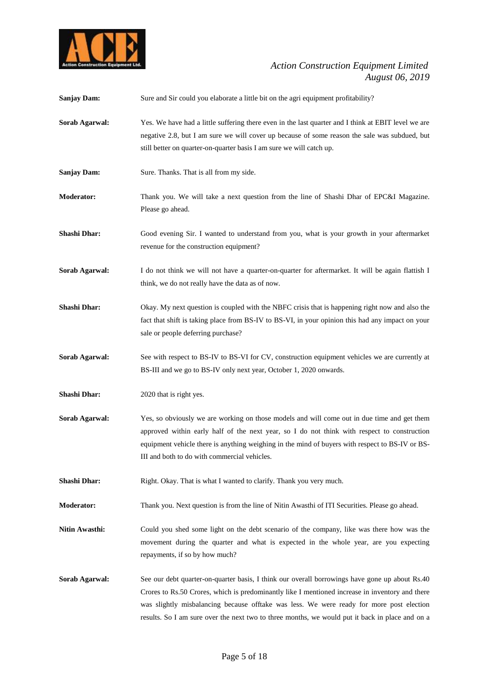

| <b>Sanjay Dam:</b>  | Sure and Sir could you elaborate a little bit on the agri equipment profitability?                                                                                                                                                                                                                                                                                                               |
|---------------------|--------------------------------------------------------------------------------------------------------------------------------------------------------------------------------------------------------------------------------------------------------------------------------------------------------------------------------------------------------------------------------------------------|
| Sorab Agarwal:      | Yes. We have had a little suffering there even in the last quarter and I think at EBIT level we are<br>negative 2.8, but I am sure we will cover up because of some reason the sale was subdued, but<br>still better on quarter-on-quarter basis I am sure we will catch up.                                                                                                                     |
| <b>Sanjay Dam:</b>  | Sure. Thanks. That is all from my side.                                                                                                                                                                                                                                                                                                                                                          |
| <b>Moderator:</b>   | Thank you. We will take a next question from the line of Shashi Dhar of EPC&I Magazine.<br>Please go ahead.                                                                                                                                                                                                                                                                                      |
| <b>Shashi Dhar:</b> | Good evening Sir. I wanted to understand from you, what is your growth in your aftermarket<br>revenue for the construction equipment?                                                                                                                                                                                                                                                            |
| Sorab Agarwal:      | I do not think we will not have a quarter-on-quarter for aftermarket. It will be again flattish I<br>think, we do not really have the data as of now.                                                                                                                                                                                                                                            |
| <b>Shashi Dhar:</b> | Okay. My next question is coupled with the NBFC crisis that is happening right now and also the<br>fact that shift is taking place from BS-IV to BS-VI, in your opinion this had any impact on your<br>sale or people deferring purchase?                                                                                                                                                        |
| Sorab Agarwal:      | See with respect to BS-IV to BS-VI for CV, construction equipment vehicles we are currently at<br>BS-III and we go to BS-IV only next year, October 1, 2020 onwards.                                                                                                                                                                                                                             |
| <b>Shashi Dhar:</b> | 2020 that is right yes.                                                                                                                                                                                                                                                                                                                                                                          |
| Sorab Agarwal:      | Yes, so obviously we are working on those models and will come out in due time and get them<br>approved within early half of the next year, so I do not think with respect to construction<br>equipment vehicle there is anything weighing in the mind of buyers with respect to BS-IV or BS-<br>III and both to do with commercial vehicles.                                                    |
| <b>Shashi Dhar:</b> | Right. Okay. That is what I wanted to clarify. Thank you very much.                                                                                                                                                                                                                                                                                                                              |
| <b>Moderator:</b>   | Thank you. Next question is from the line of Nitin Awasthi of ITI Securities. Please go ahead.                                                                                                                                                                                                                                                                                                   |
| Nitin Awasthi:      | Could you shed some light on the debt scenario of the company, like was there how was the<br>movement during the quarter and what is expected in the whole year, are you expecting<br>repayments, if so by how much?                                                                                                                                                                             |
| Sorab Agarwal:      | See our debt quarter-on-quarter basis, I think our overall borrowings have gone up about Rs.40<br>Crores to Rs.50 Crores, which is predominantly like I mentioned increase in inventory and there<br>was slightly misbalancing because offtake was less. We were ready for more post election<br>results. So I am sure over the next two to three months, we would put it back in place and on a |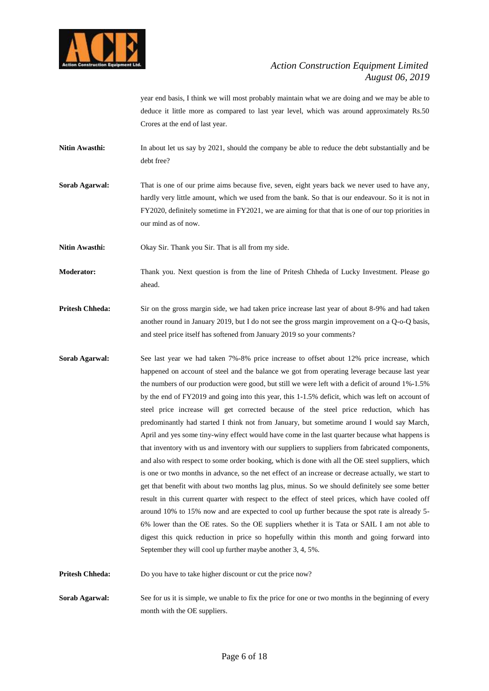

year end basis, I think we will most probably maintain what we are doing and we may be able to deduce it little more as compared to last year level, which was around approximately Rs.50 Crores at the end of last year.

- **Nitin Awasthi:** In about let us say by 2021, should the company be able to reduce the debt substantially and be debt free?
- **Sorab Agarwal:** That is one of our prime aims because five, seven, eight years back we never used to have any, hardly very little amount, which we used from the bank. So that is our endeavour. So it is not in FY2020, definitely sometime in FY2021, we are aiming for that that is one of our top priorities in our mind as of now.
- Nitin Awasthi: Okay Sir. Thank you Sir. That is all from my side.
- **Moderator:** Thank you. Next question is from the line of Pritesh Chheda of Lucky Investment. Please go ahead.
- **Pritesh Chheda:** Sir on the gross margin side, we had taken price increase last year of about 8-9% and had taken another round in January 2019, but I do not see the gross margin improvement on a Q-o-Q basis, and steel price itself has softened from January 2019 so your comments?
- **Sorab Agarwal:** See last year we had taken 7%-8% price increase to offset about 12% price increase, which happened on account of steel and the balance we got from operating leverage because last year the numbers of our production were good, but still we were left with a deficit of around 1%-1.5% by the end of FY2019 and going into this year, this 1-1.5% deficit, which was left on account of steel price increase will get corrected because of the steel price reduction, which has predominantly had started I think not from January, but sometime around I would say March, April and yes some tiny-winy effect would have come in the last quarter because what happens is that inventory with us and inventory with our suppliers to suppliers from fabricated components, and also with respect to some order booking, which is done with all the OE steel suppliers, which is one or two months in advance, so the net effect of an increase or decrease actually, we start to get that benefit with about two months lag plus, minus. So we should definitely see some better result in this current quarter with respect to the effect of steel prices, which have cooled off around 10% to 15% now and are expected to cool up further because the spot rate is already 5- 6% lower than the OE rates. So the OE suppliers whether it is Tata or SAIL I am not able to digest this quick reduction in price so hopefully within this month and going forward into September they will cool up further maybe another 3, 4, 5%.

**Pritesh Chheda:** Do you have to take higher discount or cut the price now?

**Sorab Agarwal:** See for us it is simple, we unable to fix the price for one or two months in the beginning of every month with the OE suppliers.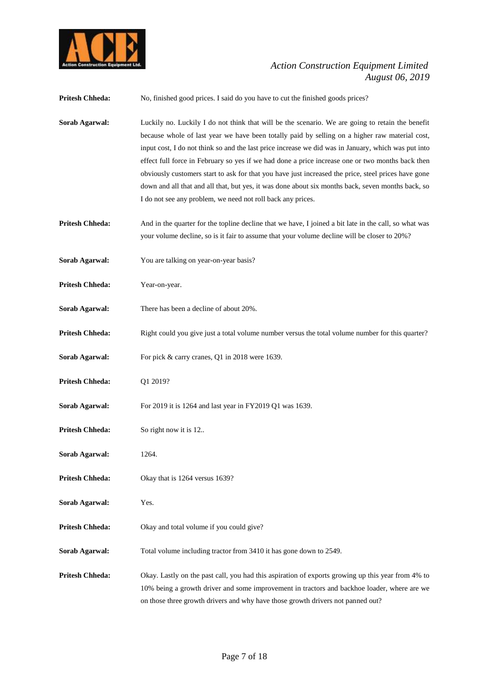

| <b>Pritesh Chheda:</b> | No, finished good prices. I said do you have to cut the finished goods prices?                                                                                                                                                                                                                                                                                                                                                                                                                                                                                                                                                                                                           |
|------------------------|------------------------------------------------------------------------------------------------------------------------------------------------------------------------------------------------------------------------------------------------------------------------------------------------------------------------------------------------------------------------------------------------------------------------------------------------------------------------------------------------------------------------------------------------------------------------------------------------------------------------------------------------------------------------------------------|
| Sorab Agarwal:         | Luckily no. Luckily I do not think that will be the scenario. We are going to retain the benefit<br>because whole of last year we have been totally paid by selling on a higher raw material cost,<br>input cost, I do not think so and the last price increase we did was in January, which was put into<br>effect full force in February so yes if we had done a price increase one or two months back then<br>obviously customers start to ask for that you have just increased the price, steel prices have gone<br>down and all that and all that, but yes, it was done about six months back, seven months back, so<br>I do not see any problem, we need not roll back any prices. |
| <b>Pritesh Chheda:</b> | And in the quarter for the topline decline that we have, I joined a bit late in the call, so what was<br>your volume decline, so is it fair to assume that your volume decline will be closer to 20%?                                                                                                                                                                                                                                                                                                                                                                                                                                                                                    |
| Sorab Agarwal:         | You are talking on year-on-year basis?                                                                                                                                                                                                                                                                                                                                                                                                                                                                                                                                                                                                                                                   |
| <b>Pritesh Chheda:</b> | Year-on-year.                                                                                                                                                                                                                                                                                                                                                                                                                                                                                                                                                                                                                                                                            |
| Sorab Agarwal:         | There has been a decline of about 20%.                                                                                                                                                                                                                                                                                                                                                                                                                                                                                                                                                                                                                                                   |
| <b>Pritesh Chheda:</b> | Right could you give just a total volume number versus the total volume number for this quarter?                                                                                                                                                                                                                                                                                                                                                                                                                                                                                                                                                                                         |
| Sorab Agarwal:         | For pick & carry cranes, Q1 in 2018 were 1639.                                                                                                                                                                                                                                                                                                                                                                                                                                                                                                                                                                                                                                           |
| <b>Pritesh Chheda:</b> | Q1 2019?                                                                                                                                                                                                                                                                                                                                                                                                                                                                                                                                                                                                                                                                                 |
| Sorab Agarwal:         | For 2019 it is 1264 and last year in FY2019 Q1 was 1639.                                                                                                                                                                                                                                                                                                                                                                                                                                                                                                                                                                                                                                 |
| <b>Pritesh Chheda:</b> | So right now it is 12                                                                                                                                                                                                                                                                                                                                                                                                                                                                                                                                                                                                                                                                    |
| Sorab Agarwal:         | 1264.                                                                                                                                                                                                                                                                                                                                                                                                                                                                                                                                                                                                                                                                                    |
| <b>Pritesh Chheda:</b> | Okay that is 1264 versus 1639?                                                                                                                                                                                                                                                                                                                                                                                                                                                                                                                                                                                                                                                           |
| Sorab Agarwal:         | Yes.                                                                                                                                                                                                                                                                                                                                                                                                                                                                                                                                                                                                                                                                                     |
| <b>Pritesh Chheda:</b> | Okay and total volume if you could give?                                                                                                                                                                                                                                                                                                                                                                                                                                                                                                                                                                                                                                                 |
| Sorab Agarwal:         | Total volume including tractor from 3410 it has gone down to 2549.                                                                                                                                                                                                                                                                                                                                                                                                                                                                                                                                                                                                                       |
| <b>Pritesh Chheda:</b> | Okay. Lastly on the past call, you had this aspiration of exports growing up this year from 4% to<br>10% being a growth driver and some improvement in tractors and backhoe loader, where are we<br>on those three growth drivers and why have those growth drivers not panned out?                                                                                                                                                                                                                                                                                                                                                                                                      |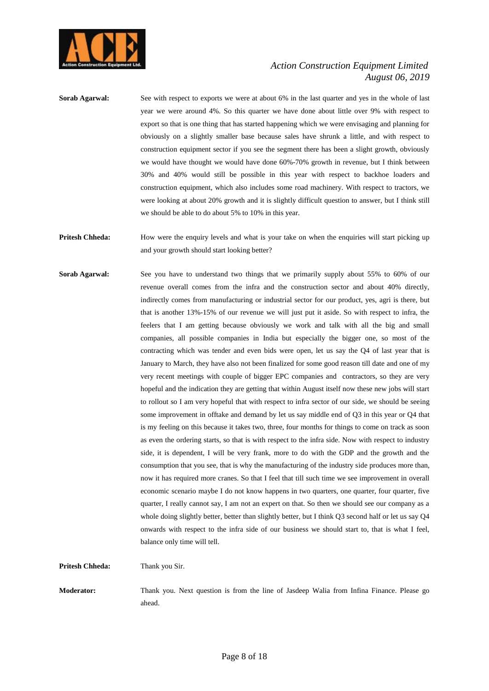

**Sorab Agarwal:** See with respect to exports we were at about 6% in the last quarter and yes in the whole of last year we were around 4%. So this quarter we have done about little over 9% with respect to export so that is one thing that has started happening which we were envisaging and planning for obviously on a slightly smaller base because sales have shrunk a little, and with respect to construction equipment sector if you see the segment there has been a slight growth, obviously we would have thought we would have done 60%-70% growth in revenue, but I think between 30% and 40% would still be possible in this year with respect to backhoe loaders and construction equipment, which also includes some road machinery. With respect to tractors, we were looking at about 20% growth and it is slightly difficult question to answer, but I think still we should be able to do about 5% to 10% in this year.

**Pritesh Chheda:** How were the enquiry levels and what is your take on when the enquiries will start picking up and your growth should start looking better?

**Sorab Agarwal:** See you have to understand two things that we primarily supply about 55% to 60% of our revenue overall comes from the infra and the construction sector and about 40% directly, indirectly comes from manufacturing or industrial sector for our product, yes, agri is there, but that is another 13%-15% of our revenue we will just put it aside. So with respect to infra, the feelers that I am getting because obviously we work and talk with all the big and small companies, all possible companies in India but especially the bigger one, so most of the contracting which was tender and even bids were open, let us say the Q4 of last year that is January to March, they have also not been finalized for some good reason till date and one of my very recent meetings with couple of bigger EPC companies and contractors, so they are very hopeful and the indication they are getting that within August itself now these new jobs will start to rollout so I am very hopeful that with respect to infra sector of our side, we should be seeing some improvement in offtake and demand by let us say middle end of Q3 in this year or Q4 that is my feeling on this because it takes two, three, four months for things to come on track as soon as even the ordering starts, so that is with respect to the infra side. Now with respect to industry side, it is dependent, I will be very frank, more to do with the GDP and the growth and the consumption that you see, that is why the manufacturing of the industry side produces more than, now it has required more cranes. So that I feel that till such time we see improvement in overall economic scenario maybe I do not know happens in two quarters, one quarter, four quarter, five quarter, I really cannot say, I am not an expert on that. So then we should see our company as a whole doing slightly better, better than slightly better, but I think Q3 second half or let us say Q4 onwards with respect to the infra side of our business we should start to, that is what I feel, balance only time will tell.

**Pritesh Chheda:** Thank you Sir.

**Moderator:** Thank you. Next question is from the line of Jasdeep Walia from Infina Finance. Please go ahead.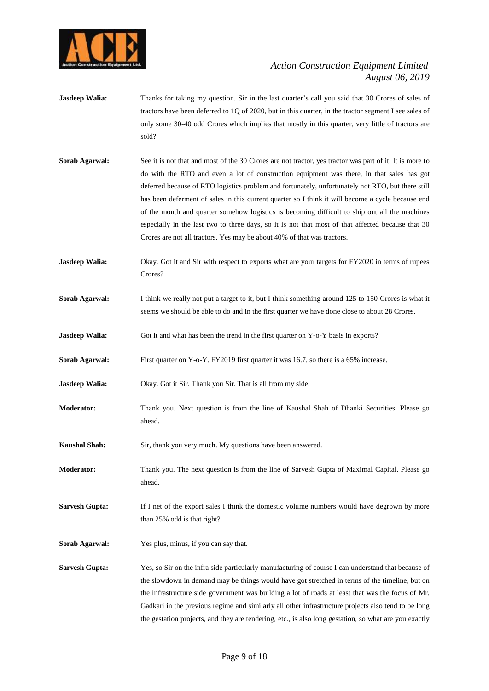

- **Jasdeep Walia:** Thanks for taking my question. Sir in the last quarter's call you said that 30 Crores of sales of tractors have been deferred to 1Q of 2020, but in this quarter, in the tractor segment I see sales of only some 30-40 odd Crores which implies that mostly in this quarter, very little of tractors are sold?
- **Sorab Agarwal:** See it is not that and most of the 30 Crores are not tractor, yes tractor was part of it. It is more to do with the RTO and even a lot of construction equipment was there, in that sales has got deferred because of RTO logistics problem and fortunately, unfortunately not RTO, but there still has been deferment of sales in this current quarter so I think it will become a cycle because end of the month and quarter somehow logistics is becoming difficult to ship out all the machines especially in the last two to three days, so it is not that most of that affected because that 30 Crores are not all tractors. Yes may be about 40% of that was tractors.
- **Jasdeep Walia:** Okay. Got it and Sir with respect to exports what are your targets for FY2020 in terms of rupees Crores?
- **Sorab Agarwal:** I think we really not put a target to it, but I think something around 125 to 150 Crores is what it seems we should be able to do and in the first quarter we have done close to about 28 Crores.
- **Jasdeep Walia:** Got it and what has been the trend in the first quarter on Y-o-Y basis in exports?
- **Sorab Agarwal:** First quarter on Y-o-Y. FY2019 first quarter it was 16.7, so there is a 65% increase.
- **Jasdeep Walia:** Okay. Got it Sir. Thank you Sir. That is all from my side.
- **Moderator:** Thank you. Next question is from the line of Kaushal Shah of Dhanki Securities. Please go ahead.
- **Kaushal Shah:** Sir, thank you very much. My questions have been answered.
- **Moderator:** Thank you. The next question is from the line of Sarvesh Gupta of Maximal Capital. Please go ahead.
- **Sarvesh Gupta:** If I net of the export sales I think the domestic volume numbers would have degrown by more than 25% odd is that right?
- **Sorab Agarwal:** Yes plus, minus, if you can say that.
- **Sarvesh Gupta:** Yes, so Sir on the infra side particularly manufacturing of course I can understand that because of the slowdown in demand may be things would have got stretched in terms of the timeline, but on the infrastructure side government was building a lot of roads at least that was the focus of Mr. Gadkari in the previous regime and similarly all other infrastructure projects also tend to be long the gestation projects, and they are tendering, etc., is also long gestation, so what are you exactly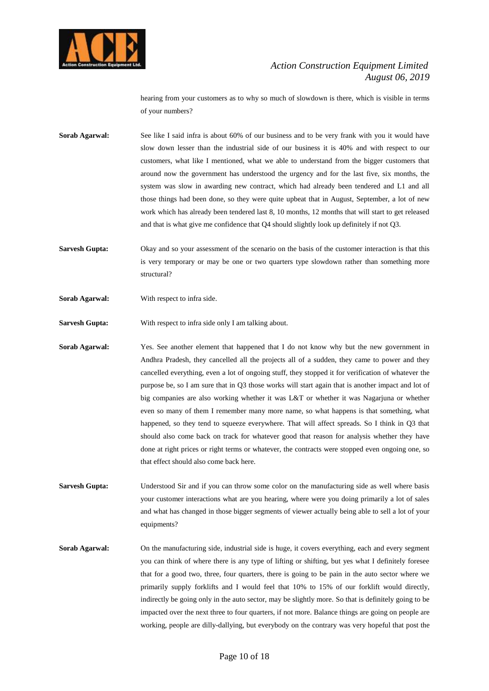

hearing from your customers as to why so much of slowdown is there, which is visible in terms of your numbers?

- **Sorab Agarwal:** See like I said infra is about 60% of our business and to be very frank with you it would have slow down lesser than the industrial side of our business it is 40% and with respect to our customers, what like I mentioned, what we able to understand from the bigger customers that around now the government has understood the urgency and for the last five, six months, the system was slow in awarding new contract, which had already been tendered and L1 and all those things had been done, so they were quite upbeat that in August, September, a lot of new work which has already been tendered last 8, 10 months, 12 months that will start to get released and that is what give me confidence that Q4 should slightly look up definitely if not Q3.
- **Sarvesh Gupta:** Okay and so your assessment of the scenario on the basis of the customer interaction is that this is very temporary or may be one or two quarters type slowdown rather than something more structural?
- **Sorab Agarwal:** With respect to infra side.
- **Sarvesh Gupta:** With respect to infra side only I am talking about.
- **Sorab Agarwal:** Yes. See another element that happened that I do not know why but the new government in Andhra Pradesh, they cancelled all the projects all of a sudden, they came to power and they cancelled everything, even a lot of ongoing stuff, they stopped it for verification of whatever the purpose be, so I am sure that in Q3 those works will start again that is another impact and lot of big companies are also working whether it was L&T or whether it was Nagarjuna or whether even so many of them I remember many more name, so what happens is that something, what happened, so they tend to squeeze everywhere. That will affect spreads. So I think in Q3 that should also come back on track for whatever good that reason for analysis whether they have done at right prices or right terms or whatever, the contracts were stopped even ongoing one, so that effect should also come back here.
- **Sarvesh Gupta:** Understood Sir and if you can throw some color on the manufacturing side as well where basis your customer interactions what are you hearing, where were you doing primarily a lot of sales and what has changed in those bigger segments of viewer actually being able to sell a lot of your equipments?
- **Sorab Agarwal:** On the manufacturing side, industrial side is huge, it covers everything, each and every segment you can think of where there is any type of lifting or shifting, but yes what I definitely foresee that for a good two, three, four quarters, there is going to be pain in the auto sector where we primarily supply forklifts and I would feel that 10% to 15% of our forklift would directly, indirectly be going only in the auto sector, may be slightly more. So that is definitely going to be impacted over the next three to four quarters, if not more. Balance things are going on people are working, people are dilly-dallying, but everybody on the contrary was very hopeful that post the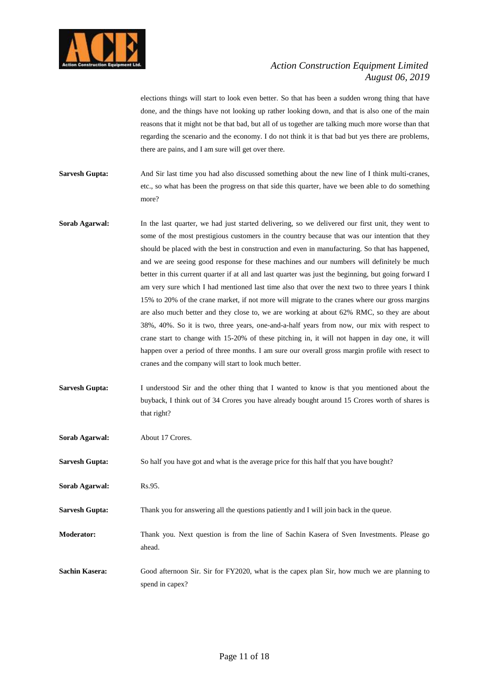

elections things will start to look even better. So that has been a sudden wrong thing that have done, and the things have not looking up rather looking down, and that is also one of the main reasons that it might not be that bad, but all of us together are talking much more worse than that regarding the scenario and the economy. I do not think it is that bad but yes there are problems, there are pains, and I am sure will get over there.

- **Sarvesh Gupta:** And Sir last time you had also discussed something about the new line of I think multi-cranes, etc., so what has been the progress on that side this quarter, have we been able to do something more?
- **Sorab Agarwal:** In the last quarter, we had just started delivering, so we delivered our first unit, they went to some of the most prestigious customers in the country because that was our intention that they should be placed with the best in construction and even in manufacturing. So that has happened, and we are seeing good response for these machines and our numbers will definitely be much better in this current quarter if at all and last quarter was just the beginning, but going forward I am very sure which I had mentioned last time also that over the next two to three years I think 15% to 20% of the crane market, if not more will migrate to the cranes where our gross margins are also much better and they close to, we are working at about 62% RMC, so they are about 38%, 40%. So it is two, three years, one-and-a-half years from now, our mix with respect to crane start to change with 15-20% of these pitching in, it will not happen in day one, it will happen over a period of three months. I am sure our overall gross margin profile with resect to cranes and the company will start to look much better.
- **Sarvesh Gupta:** I understood Sir and the other thing that I wanted to know is that you mentioned about the buyback, I think out of 34 Crores you have already bought around 15 Crores worth of shares is that right?

| Sorab Agarwal:        | About 17 Crores.                                                                                    |
|-----------------------|-----------------------------------------------------------------------------------------------------|
| <b>Sarvesh Gupta:</b> | So half you have got and what is the average price for this half that you have bought?              |
| Sorab Agarwal:        | Rs.95.                                                                                              |
| <b>Sarvesh Gupta:</b> | Thank you for answering all the questions patiently and I will join back in the queue.              |
| <b>Moderator:</b>     | Thank you. Next question is from the line of Sachin Kasera of Sven Investments. Please go<br>ahead. |
| Sachin Kasera:        | Good afternoon Sir. Sir for FY2020, what is the capex plan Sir, how much we are planning to         |

spend in capex?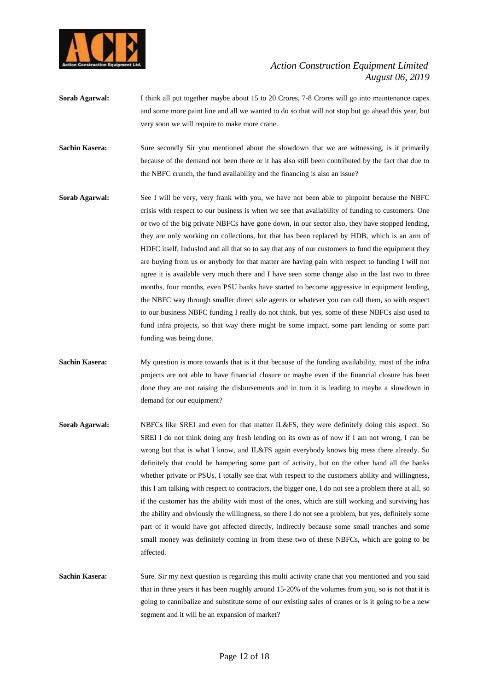

- **Sorab Agarwal:** I think all put together maybe about 15 to 20 Crores, 7-8 Crores will go into maintenance capex and some more paint line and all we wanted to do so that will not stop but go ahead this year, but very soon we will require to make more crane.
- Sachin Kasera: Sure secondly Sir you mentioned about the slowdown that we are witnessing, is it primarily because of the demand not been there or it has also still been contributed by the fact that due to the NBFC crunch, the fund availability and the financing is also an issue?
- **Sorab Agarwal:** See I will be very, very frank with you, we have not been able to pinpoint because the NBFC crisis with respect to our business is when we see that availability of funding to customers. One or two of the big private NBFCs have gone down, in our sector also, they have stopped lending, they are only working on collections, but that has been replaced by HDB, which is an arm of HDFC itself, IndusInd and all that so to say that any of our customers to fund the equipment they are buying from us or anybody for that matter are having pain with respect to funding I will not agree it is available very much there and I have seen some change also in the last two to three months, four months, even PSU banks have started to become aggressive in equipment lending, the NBFC way through smaller direct sale agents or whatever you can call them, so with respect to our business NBFC funding I really do not think, but yes, some of these NBFCs also used to fund infra projects, so that way there might be some impact, some part lending or some part funding was being done.
- **Sachin Kasera:** My question is more towards that is it that because of the funding availability, most of the infra projects are not able to have financial closure or maybe even if the financial closure has been done they are not raising the disbursements and in turn it is leading to maybe a slowdown in demand for our equipment?
- **Sorab Agarwal:** NBFCs like SREI and even for that matter IL&FS, they were definitely doing this aspect. So SREI I do not think doing any fresh lending on its own as of now if I am not wrong, I can be wrong but that is what I know, and IL&FS again everybody knows big mess there already. So definitely that could be hampering some part of activity, but on the other hand all the banks whether private or PSUs, I totally see that with respect to the customers ability and willingness, this I am talking with respect to contractors, the bigger one, I do not see a problem there at all, so if the customer has the ability with most of the ones, which are still working and surviving has the ability and obviously the willingness, so there I do not see a problem, but yes, definitely some part of it would have got affected directly, indirectly because some small tranches and some small money was definitely coming in from these two of these NBFCs, which are going to be affected.
- **Sachin Kasera:** Sure. Sir my next question is regarding this multi activity crane that you mentioned and you said that in three years it has been roughly around 15-20% of the volumes from you, so is not that it is going to cannibalize and substitute some of our existing sales of cranes or is it going to be a new segment and it will be an expansion of market?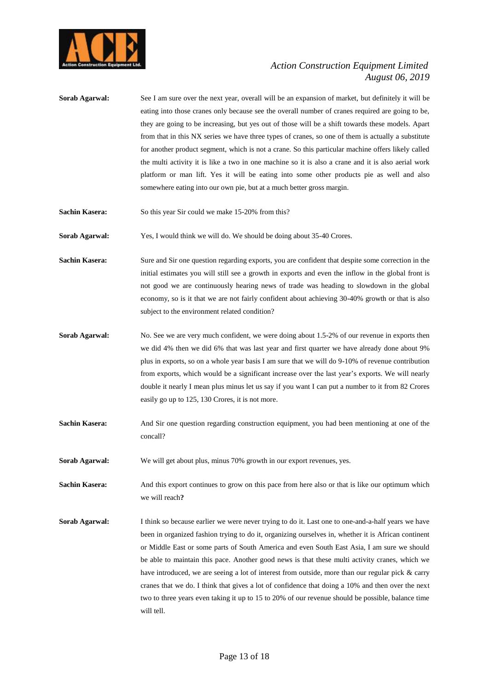

- **Sorab Agarwal:** See I am sure over the next year, overall will be an expansion of market, but definitely it will be eating into those cranes only because see the overall number of cranes required are going to be, they are going to be increasing, but yes out of those will be a shift towards these models. Apart from that in this NX series we have three types of cranes, so one of them is actually a substitute for another product segment, which is not a crane. So this particular machine offers likely called the multi activity it is like a two in one machine so it is also a crane and it is also aerial work platform or man lift. Yes it will be eating into some other products pie as well and also somewhere eating into our own pie, but at a much better gross margin.
- **Sachin Kasera:** So this year Sir could we make 15-20% from this?

**Sorab Agarwal:** Yes, I would think we will do. We should be doing about 35-40 Crores.

- **Sachin Kasera:** Sure and Sir one question regarding exports, you are confident that despite some correction in the initial estimates you will still see a growth in exports and even the inflow in the global front is not good we are continuously hearing news of trade was heading to slowdown in the global economy, so is it that we are not fairly confident about achieving 30-40% growth or that is also subject to the environment related condition?
- **Sorab Agarwal:** No. See we are very much confident, we were doing about 1.5-2% of our revenue in exports then we did 4% then we did 6% that was last year and first quarter we have already done about 9% plus in exports, so on a whole year basis I am sure that we will do 9-10% of revenue contribution from exports, which would be a significant increase over the last year's exports. We will nearly double it nearly I mean plus minus let us say if you want I can put a number to it from 82 Crores easily go up to 125, 130 Crores, it is not more.
- **Sachin Kasera:** And Sir one question regarding construction equipment, you had been mentioning at one of the concall?
- **Sorab Agarwal:** We will get about plus, minus 70% growth in our export revenues, yes.

**Sachin Kasera:** And this export continues to grow on this pace from here also or that is like our optimum which we will reach**?**

**Sorab Agarwal:** I think so because earlier we were never trying to do it. Last one to one-and-a-half years we have been in organized fashion trying to do it, organizing ourselves in, whether it is African continent or Middle East or some parts of South America and even South East Asia, I am sure we should be able to maintain this pace. Another good news is that these multi activity cranes, which we have introduced, we are seeing a lot of interest from outside, more than our regular pick & carry cranes that we do. I think that gives a lot of confidence that doing a 10% and then over the next two to three years even taking it up to 15 to 20% of our revenue should be possible, balance time will tell.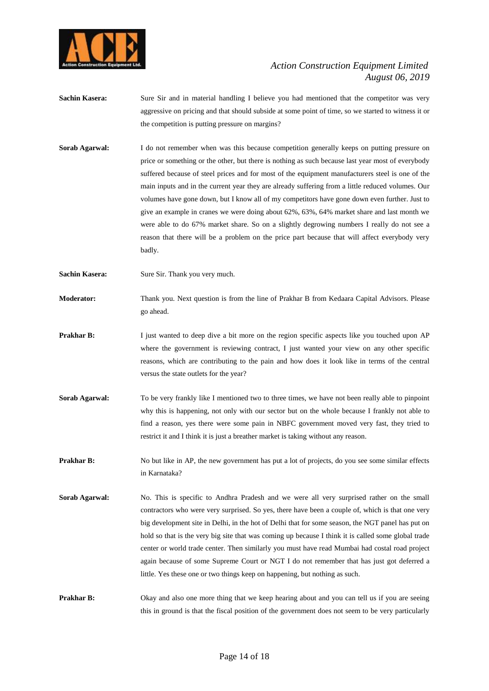

- **Sachin Kasera:** Sure Sir and in material handling I believe you had mentioned that the competitor was very aggressive on pricing and that should subside at some point of time, so we started to witness it or the competition is putting pressure on margins?
- **Sorab Agarwal:** I do not remember when was this because competition generally keeps on putting pressure on price or something or the other, but there is nothing as such because last year most of everybody suffered because of steel prices and for most of the equipment manufacturers steel is one of the main inputs and in the current year they are already suffering from a little reduced volumes. Our volumes have gone down, but I know all of my competitors have gone down even further. Just to give an example in cranes we were doing about 62%, 63%, 64% market share and last month we were able to do 67% market share. So on a slightly degrowing numbers I really do not see a reason that there will be a problem on the price part because that will affect everybody very badly.
- **Sachin Kasera:** Sure Sir. Thank you very much.
- **Moderator:** Thank you. Next question is from the line of Prakhar B from Kedaara Capital Advisors. Please go ahead.
- **Prakhar B:** I just wanted to deep dive a bit more on the region specific aspects like you touched upon AP where the government is reviewing contract, I just wanted your view on any other specific reasons, which are contributing to the pain and how does it look like in terms of the central versus the state outlets for the year?
- **Sorab Agarwal:** To be very frankly like I mentioned two to three times, we have not been really able to pinpoint why this is happening, not only with our sector but on the whole because I frankly not able to find a reason, yes there were some pain in NBFC government moved very fast, they tried to restrict it and I think it is just a breather market is taking without any reason.
- **Prakhar B:** No but like in AP, the new government has put a lot of projects, do you see some similar effects in Karnataka?
- Sorab Agarwal: No. This is specific to Andhra Pradesh and we were all very surprised rather on the small contractors who were very surprised. So yes, there have been a couple of, which is that one very big development site in Delhi, in the hot of Delhi that for some season, the NGT panel has put on hold so that is the very big site that was coming up because I think it is called some global trade center or world trade center. Then similarly you must have read Mumbai had costal road project again because of some Supreme Court or NGT I do not remember that has just got deferred a little. Yes these one or two things keep on happening, but nothing as such.
- **Prakhar B:** Okay and also one more thing that we keep hearing about and you can tell us if you are seeing this in ground is that the fiscal position of the government does not seem to be very particularly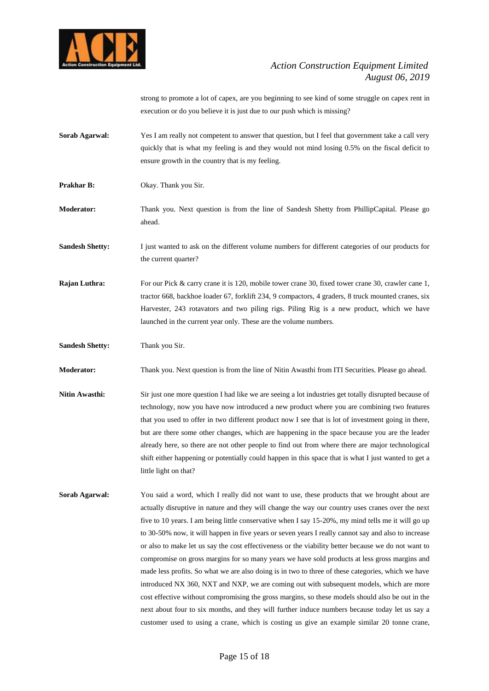

strong to promote a lot of capex, are you beginning to see kind of some struggle on capex rent in execution or do you believe it is just due to our push which is missing?

- **Sorab Agarwal:** Yes I am really not competent to answer that question, but I feel that government take a call very quickly that is what my feeling is and they would not mind losing 0.5% on the fiscal deficit to ensure growth in the country that is my feeling.
- **Prakhar B:** Okay. Thank you Sir.
- **Moderator:** Thank you. Next question is from the line of Sandesh Shetty from PhillipCapital. Please go ahead.
- **Sandesh Shetty:** I just wanted to ask on the different volume numbers for different categories of our products for the current quarter?
- **Rajan Luthra:** For our Pick & carry crane it is 120, mobile tower crane 30, fixed tower crane 30, crawler cane 1, tractor 668, backhoe loader 67, forklift 234, 9 compactors, 4 graders, 8 truck mounted cranes, six Harvester, 243 rotavators and two piling rigs. Piling Rig is a new product, which we have launched in the current year only. These are the volume numbers.
- **Sandesh Shetty:** Thank you Sir.

**Moderator:** Thank you. Next question is from the line of Nitin Awasthi from ITI Securities. Please go ahead.

- **Nitin Awasthi:** Sir just one more question I had like we are seeing a lot industries get totally disrupted because of technology, now you have now introduced a new product where you are combining two features that you used to offer in two different product now I see that is lot of investment going in there, but are there some other changes, which are happening in the space because you are the leader already here, so there are not other people to find out from where there are major technological shift either happening or potentially could happen in this space that is what I just wanted to get a little light on that?
- **Sorab Agarwal:** You said a word, which I really did not want to use, these products that we brought about are actually disruptive in nature and they will change the way our country uses cranes over the next five to 10 years. I am being little conservative when I say 15-20%, my mind tells me it will go up to 30-50% now, it will happen in five years or seven years I really cannot say and also to increase or also to make let us say the cost effectiveness or the viability better because we do not want to compromise on gross margins for so many years we have sold products at less gross margins and made less profits. So what we are also doing is in two to three of these categories, which we have introduced NX 360, NXT and NXP, we are coming out with subsequent models, which are more cost effective without compromising the gross margins, so these models should also be out in the next about four to six months, and they will further induce numbers because today let us say a customer used to using a crane, which is costing us give an example similar 20 tonne crane,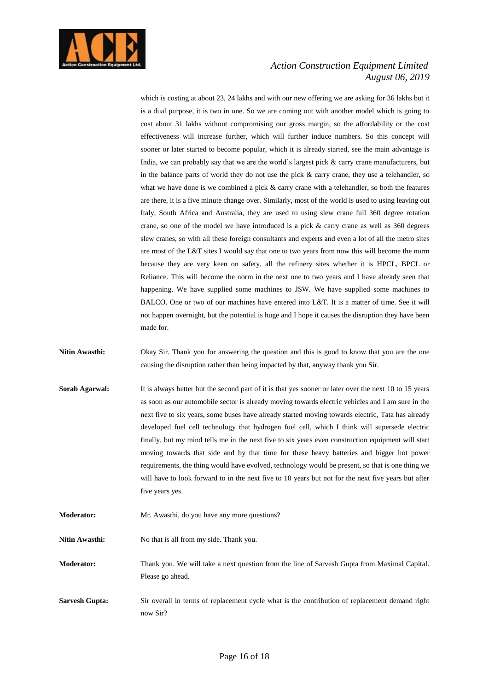

which is costing at about 23, 24 lakhs and with our new offering we are asking for 36 lakhs but it is a dual purpose, it is two in one. So we are coming out with another model which is going to cost about 31 lakhs without compromising our gross margin, so the affordability or the cost effectiveness will increase further, which will further induce numbers. So this concept will sooner or later started to become popular, which it is already started, see the main advantage is India, we can probably say that we are the world's largest pick & carry crane manufacturers, but in the balance parts of world they do not use the pick  $\&$  carry crane, they use a telehandler, so what we have done is we combined a pick & carry crane with a telehandler, so both the features are there, it is a five minute change over. Similarly, most of the world is used to using leaving out Italy, South Africa and Australia, they are used to using slew crane full 360 degree rotation crane, so one of the model we have introduced is a pick & carry crane as well as 360 degrees slew cranes, so with all these foreign consultants and experts and even a lot of all the metro sites are most of the L&T sites I would say that one to two years from now this will become the norm because they are very keen on safety, all the refinery sites whether it is HPCL, BPCL or Reliance. This will become the norm in the next one to two years and I have already seen that happening. We have supplied some machines to JSW. We have supplied some machines to BALCO. One or two of our machines have entered into L&T. It is a matter of time. See it will not happen overnight, but the potential is huge and I hope it causes the disruption they have been made for.

**Nitin Awasthi:** Okay Sir. Thank you for answering the question and this is good to know that you are the one causing the disruption rather than being impacted by that, anyway thank you Sir.

- **Sorab Agarwal:** It is always better but the second part of it is that yes sooner or later over the next 10 to 15 years as soon as our automobile sector is already moving towards electric vehicles and I am sure in the next five to six years, some buses have already started moving towards electric, Tata has already developed fuel cell technology that hydrogen fuel cell, which I think will supersede electric finally, but my mind tells me in the next five to six years even construction equipment will start moving towards that side and by that time for these heavy batteries and bigger hot power requirements, the thing would have evolved, technology would be present, so that is one thing we will have to look forward to in the next five to 10 years but not for the next five years but after five years yes.
- **Moderator:** Mr. Awasthi, do you have any more questions?

Nitin Awasthi: No that is all from my side. Thank you.

**Moderator:** Thank you. We will take a next question from the line of Sarvesh Gupta from Maximal Capital. Please go ahead.

**Sarvesh Gupta:** Sir overall in terms of replacement cycle what is the contribution of replacement demand right now Sir?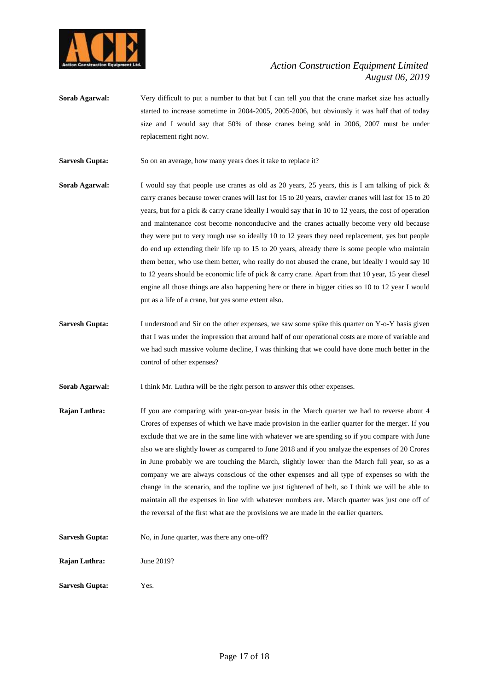

**Sorab Agarwal:** Very difficult to put a number to that but I can tell you that the crane market size has actually started to increase sometime in 2004-2005, 2005-2006, but obviously it was half that of today size and I would say that 50% of those cranes being sold in 2006, 2007 must be under replacement right now.

**Sarvesh Gupta:** So on an average, how many years does it take to replace it?

- **Sorab Agarwal:** I would say that people use cranes as old as 20 years, 25 years, this is I am talking of pick & carry cranes because tower cranes will last for 15 to 20 years, crawler cranes will last for 15 to 20 years, but for a pick & carry crane ideally I would say that in 10 to 12 years, the cost of operation and maintenance cost become nonconducive and the cranes actually become very old because they were put to very rough use so ideally 10 to 12 years they need replacement, yes but people do end up extending their life up to 15 to 20 years, already there is some people who maintain them better, who use them better, who really do not abused the crane, but ideally I would say 10 to 12 years should be economic life of pick & carry crane. Apart from that 10 year, 15 year diesel engine all those things are also happening here or there in bigger cities so 10 to 12 year I would put as a life of a crane, but yes some extent also.
- **Sarvesh Gupta:** I understood and Sir on the other expenses, we saw some spike this quarter on Y-o-Y basis given that I was under the impression that around half of our operational costs are more of variable and we had such massive volume decline, I was thinking that we could have done much better in the control of other expenses?
- **Sorab Agarwal:** I think Mr. Luthra will be the right person to answer this other expenses.
- **Rajan Luthra:** If you are comparing with year-on-year basis in the March quarter we had to reverse about 4 Crores of expenses of which we have made provision in the earlier quarter for the merger. If you exclude that we are in the same line with whatever we are spending so if you compare with June also we are slightly lower as compared to June 2018 and if you analyze the expenses of 20 Crores in June probably we are touching the March, slightly lower than the March full year, so as a company we are always conscious of the other expenses and all type of expenses so with the change in the scenario, and the topline we just tightened of belt, so I think we will be able to maintain all the expenses in line with whatever numbers are. March quarter was just one off of the reversal of the first what are the provisions we are made in the earlier quarters.
- **Sarvesh Gupta:** No, in June quarter, was there any one-off?

**Rajan Luthra:** June 2019?

**Sarvesh Gupta:** Yes.